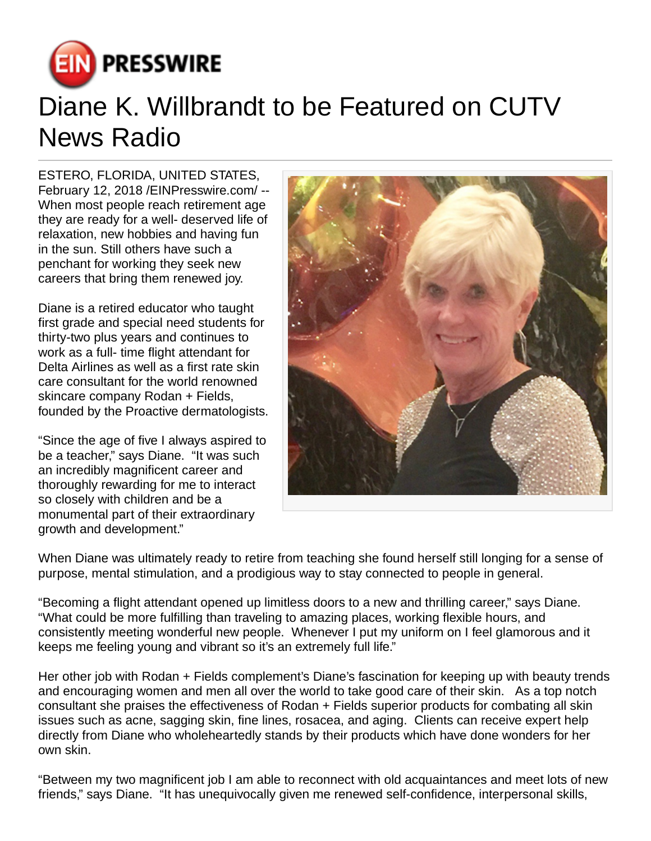

## Diane K. Willbrandt to be Featured on CUTV News Radio

ESTERO, FLORIDA, UNITED STATES, February 12, 2018 /[EINPresswire.com](http://www.einpresswire.com)/ -- When most people reach retirement age they are ready for a well- deserved life of relaxation, new hobbies and having fun in the sun. Still others have such a penchant for working they seek new careers that bring them renewed joy.

Diane is a retired educator who taught first grade and special need students for thirty-two plus years and continues to work as a full- time flight attendant for Delta Airlines as well as a first rate skin care consultant for the world renowned skincare company Rodan + Fields, founded by the Proactive dermatologists.

"Since the age of five I always aspired to be a teacher," says Diane. "It was such an incredibly magnificent career and thoroughly rewarding for me to interact so closely with children and be a monumental part of their extraordinary growth and development."



When Diane was ultimately ready to retire from teaching she found herself still longing for a sense of purpose, mental stimulation, and a prodigious way to stay connected to people in general.

"Becoming a flight attendant opened up limitless doors to a new and thrilling career," says Diane. "What could be more fulfilling than traveling to amazing places, working flexible hours, and consistently meeting wonderful new people. Whenever I put my uniform on I feel glamorous and it keeps me feeling young and vibrant so it's an extremely full life."

Her other job with Rodan + Fields complement's Diane's fascination for keeping up with beauty trends and encouraging women and men all over the world to take good care of their skin. As a top notch consultant she praises the effectiveness of Rodan + Fields superior products for combating all skin issues such as acne, sagging skin, fine lines, rosacea, and aging. Clients can receive expert help directly from Diane who wholeheartedly stands by their products which have done wonders for her own skin.

"Between my two magnificent job I am able to reconnect with old acquaintances and meet lots of new friends," says Diane. "It has unequivocally given me renewed self-confidence, interpersonal skills,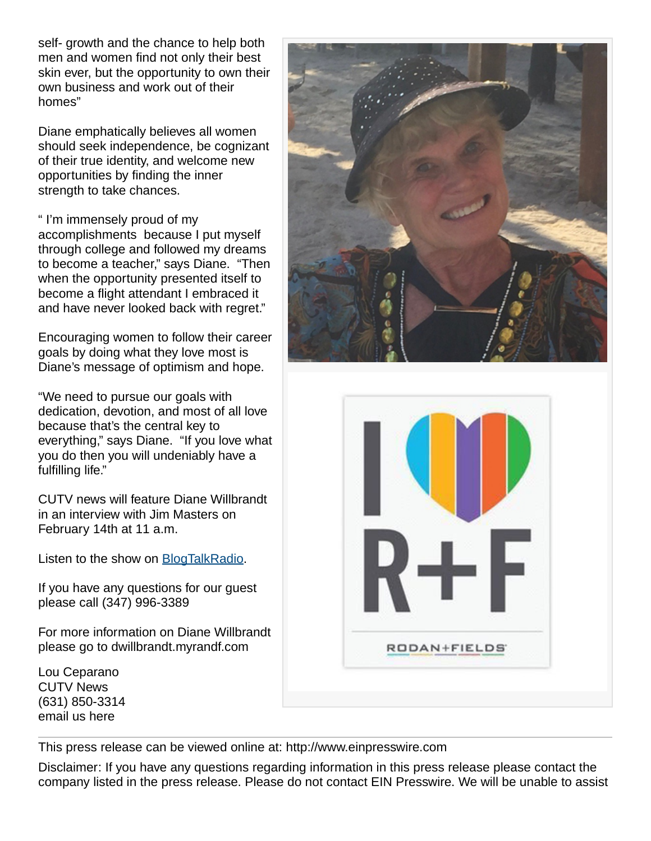self- growth and the chance to help both men and women find not only their best skin ever, but the opportunity to own their own business and work out of their homes"

Diane emphatically believes all women should seek independence, be cognizant of their true identity, and welcome new opportunities by finding the inner strength to take chances.

" I'm immensely proud of my accomplishments because I put myself through college and followed my dreams to become a teacher," says Diane. "Then when the opportunity presented itself to become a flight attendant I embraced it and have never looked back with regret."

Encouraging women to follow their career goals by doing what they love most is Diane's message of optimism and hope.

"We need to pursue our goals with dedication, devotion, and most of all love because that's the central key to everything," says Diane. "If you love what you do then you will undeniably have a fulfilling life."

CUTV news will feature Diane Willbrandt in an interview with Jim Masters on February 14th at 11 a.m.

Listen to the show on **[BlogTalkRadio](http://www.blogtalkradio.com/cutvnewsradio/2018/02/14/cutv-news-radio-spotlights-diane-k-willbrandt)**.

If you have any questions for our guest please call (347) 996-3389

For more information on Diane Willbrandt please go to dwillbrandt.myrandf.com

Lou Ceparano CUTV News (631) 850-3314 [email us here](http://www.einpresswire.com/contact_author/2443456)





This press release can be viewed online at: [http://www.einpresswire.com](http://www.einpresswire.com/)

Disclaimer: If you have any questions regarding information in this press release please contact the company listed in the press release. Please do not contact EIN Presswire. We will be unable to assist